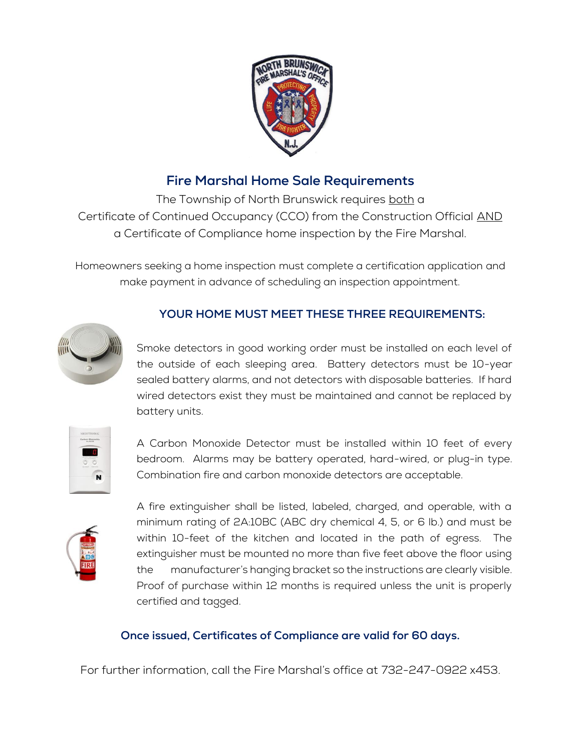

## **Fire Marshal Home Sale Requirements**

The Township of North Brunswick requires both a Certificate of Continued Occupancy (CCO) from the Construction Official AND a Certificate of Compliance home inspection by the Fire Marshal.

Homeowners seeking a home inspection must complete a certification application and make payment in advance of scheduling an inspection appointment.



## **YOUR HOME MUST MEET THESE THREE REQUIREMENTS:**

Smoke detectors in good working order must be installed on each level of the outside of each sleeping area. Battery detectors must be 10-year sealed battery alarms, and not detectors with disposable batteries. If hard wired detectors exist they must be maintained and cannot be replaced by battery units.

A Carbon Monoxide Detector must be installed within 10 feet of every bedroom. Alarms may be battery operated, hard-wired, or plug-in type. Combination fire and carbon monoxide detectors are acceptable.



A fire extinguisher shall be listed, labeled, charged, and operable, with a minimum rating of 2A:10BC (ABC dry chemical 4, 5, or 6 lb.) and must be within 10-feet of the kitchen and located in the path of egress. The extinguisher must be mounted no more than five feet above the floor using the manufacturer's hanging bracket so the instructions are clearly visible. Proof of purchase within 12 months is required unless the unit is properly certified and tagged.

## **Once issued, Certificates of Compliance are valid for 60 days.**

For further information, call the Fire Marshal's office at 732-247-0922 x453.